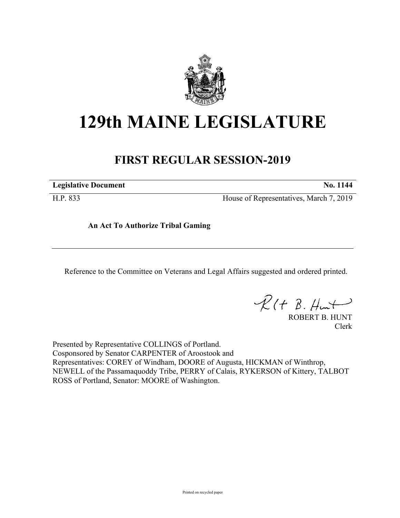

## **129th MAINE LEGISLATURE**

## **FIRST REGULAR SESSION-2019**

**Legislative Document No. 1144**

H.P. 833 House of Representatives, March 7, 2019

**An Act To Authorize Tribal Gaming**

Reference to the Committee on Veterans and Legal Affairs suggested and ordered printed.

 $R(H B. Hmt)$ 

ROBERT B. HUNT Clerk

Presented by Representative COLLINGS of Portland. Cosponsored by Senator CARPENTER of Aroostook and Representatives: COREY of Windham, DOORE of Augusta, HICKMAN of Winthrop, NEWELL of the Passamaquoddy Tribe, PERRY of Calais, RYKERSON of Kittery, TALBOT ROSS of Portland, Senator: MOORE of Washington.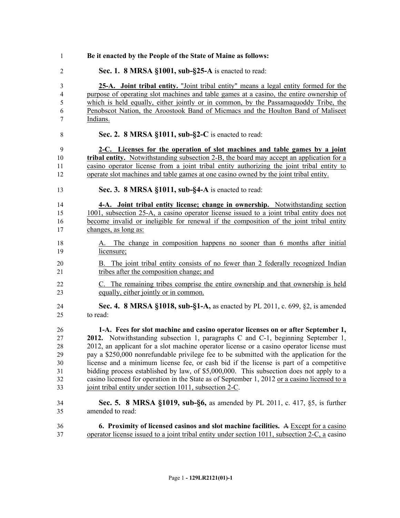| $\mathbf{1}$   | Be it enacted by the People of the State of Maine as follows:                                                                                                                           |
|----------------|-----------------------------------------------------------------------------------------------------------------------------------------------------------------------------------------|
| $\overline{2}$ | Sec. 1. 8 MRSA §1001, sub-§25-A is enacted to read:                                                                                                                                     |
| 3<br>4         | 25-A. Joint tribal entity. "Joint tribal entity" means a legal entity formed for the<br>purpose of operating slot machines and table games at a casino, the entire ownership of         |
| 5              | which is held equally, either jointly or in common, by the Passamaquoddy Tribe, the                                                                                                     |
| 6              | Penobscot Nation, the Aroostook Band of Micmacs and the Houlton Band of Maliseet                                                                                                        |
| 7              | Indians.                                                                                                                                                                                |
| 8              | Sec. 2. 8 MRSA §1011, sub-§2-C is enacted to read:                                                                                                                                      |
| 9              | 2-C. Licenses for the operation of slot machines and table games by a joint                                                                                                             |
| 10             | <b>tribal entity.</b> Notwithstanding subsection 2-B, the board may accept an application for a                                                                                         |
| 11<br>12       | casino operator license from a joint tribal entity authorizing the joint tribal entity to<br>operate slot machines and table games at one casino owned by the joint tribal entity.      |
| 13             | Sec. 3. 8 MRSA §1011, sub-§4-A is enacted to read:                                                                                                                                      |
| 14             | 4-A. Joint tribal entity license; change in ownership. Notwithstanding section                                                                                                          |
| 15             | 1001, subsection 25-A, a casino operator license issued to a joint tribal entity does not                                                                                               |
| 16             | become invalid or ineligible for renewal if the composition of the joint tribal entity                                                                                                  |
| 17             | changes, as long as:                                                                                                                                                                    |
| 18             | A. The change in composition happens no sooner than 6 months after initial                                                                                                              |
| 19             | licensure;                                                                                                                                                                              |
| 20<br>21       | B. The joint tribal entity consists of no fewer than 2 federally recognized Indian<br>tribes after the composition change; and                                                          |
| 22             | C. The remaining tribes comprise the entire ownership and that ownership is held                                                                                                        |
| 23             | equally, either jointly or in common.                                                                                                                                                   |
| 24             | Sec. 4. 8 MRSA §1018, sub-§1-A, as enacted by PL 2011, c. 699, §2, is amended                                                                                                           |
| 25             | to read:                                                                                                                                                                                |
| 26             | 1-A. Fees for slot machine and casino operator licenses on or after September 1,                                                                                                        |
| 27             | 2012. Notwithstanding subsection 1, paragraphs C and C-1, beginning September 1,                                                                                                        |
| 28             | 2012, an applicant for a slot machine operator license or a casino operator license must                                                                                                |
| 29             | pay a \$250,000 nonrefundable privilege fee to be submitted with the application for the                                                                                                |
| 30<br>31       | license and a minimum license fee, or cash bid if the license is part of a competitive                                                                                                  |
| 32             | bidding process established by law, of \$5,000,000. This subsection does not apply to a<br>casino licensed for operation in the State as of September 1, 2012 or a casino licensed to a |
| 33             | joint tribal entity under section 1011, subsection 2-C.                                                                                                                                 |
| 34             | <b>Sec. 5. 8 MRSA §1019, sub-§6, as amended by PL 2011, c. 417, §5, is further</b>                                                                                                      |
| 35             | amended to read:                                                                                                                                                                        |
| 36             | 6. Proximity of licensed casinos and slot machine facilities. $A$ Except for a casino                                                                                                   |
| 37             | operator license issued to a joint tribal entity under section 1011, subsection 2-C, a casino                                                                                           |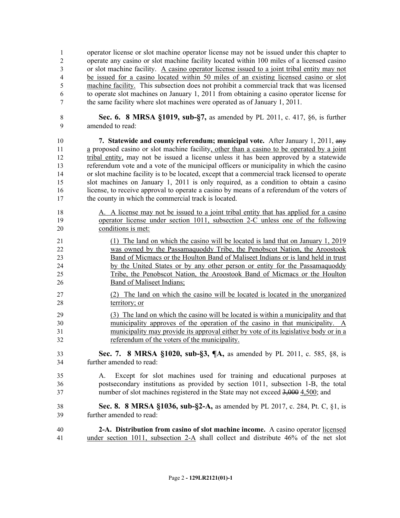operator license or slot machine operator license may not be issued under this chapter to operate any casino or slot machine facility located within 100 miles of a licensed casino or slot machine facility. A casino operator license issued to a joint tribal entity may not be issued for a casino located within 50 miles of an existing licensed casino or slot machine facility. This subsection does not prohibit a commercial track that was licensed to operate slot machines on January 1, 2011 from obtaining a casino operator license for the same facility where slot machines were operated as of January 1, 2011.

 **Sec. 6. 8 MRSA §1019, sub-§7,** as amended by PL 2011, c. 417, §6, is further amended to read:

 **7. Statewide and county referendum; municipal vote.** After January 1, 2011, any a proposed casino or slot machine facility, other than a casino to be operated by a joint tribal entity, may not be issued a license unless it has been approved by a statewide referendum vote and a vote of the municipal officers or municipality in which the casino or slot machine facility is to be located, except that a commercial track licensed to operate slot machines on January 1, 2011 is only required, as a condition to obtain a casino license, to receive approval to operate a casino by means of a referendum of the voters of the county in which the commercial track is located.

- 18 A. A license may not be issued to a joint tribal entity that has applied for a casino operator license under section 1011, subsection 2-C unless one of the following conditions is met:
- (1) The land on which the casino will be located is land that on January 1, 2019 was owned by the Passamaquoddy Tribe, the Penobscot Nation, the Aroostook Band of Micmacs or the Houlton Band of Maliseet Indians or is land held in trust by the United States or by any other person or entity for the Passamaquoddy Tribe, the Penobscot Nation, the Aroostook Band of Micmacs or the Houlton Band of Maliseet Indians;
- (2) The land on which the casino will be located is located in the unorganized territory; or
- (3) The land on which the casino will be located is within a municipality and that municipality approves of the operation of the casino in that municipality. A municipality may provide its approval either by vote of its legislative body or in a referendum of the voters of the municipality.

 **Sec. 7. 8 MRSA §1020, sub-§3, ¶A,** as amended by PL 2011, c. 585, §8, is further amended to read:

- A. Except for slot machines used for training and educational purposes at postsecondary institutions as provided by section 1011, subsection 1-B, the total number of slot machines registered in the State may not exceed 3,000 4,500; and
- **Sec. 8. 8 MRSA §1036, sub-§2-A,** as amended by PL 2017, c. 284, Pt. C, §1, is further amended to read:
- **2-A. Distribution from casino of slot machine income.** A casino operator licensed under section 1011, subsection 2-A shall collect and distribute 46% of the net slot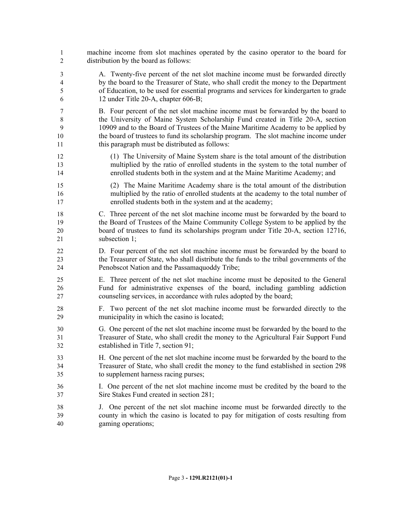machine income from slot machines operated by the casino operator to the board for distribution by the board as follows: A. Twenty-five percent of the net slot machine income must be forwarded directly by the board to the Treasurer of State, who shall credit the money to the Department of Education, to be used for essential programs and services for kindergarten to grade 12 under Title 20-A, chapter 606-B; B. Four percent of the net slot machine income must be forwarded by the board to the University of Maine System Scholarship Fund created in Title 20-A, section 10909 and to the Board of Trustees of the Maine Maritime Academy to be applied by the board of trustees to fund its scholarship program. The slot machine income under this paragraph must be distributed as follows: (1) The University of Maine System share is the total amount of the distribution multiplied by the ratio of enrolled students in the system to the total number of enrolled students both in the system and at the Maine Maritime Academy; and (2) The Maine Maritime Academy share is the total amount of the distribution multiplied by the ratio of enrolled students at the academy to the total number of enrolled students both in the system and at the academy; C. Three percent of the net slot machine income must be forwarded by the board to the Board of Trustees of the Maine Community College System to be applied by the board of trustees to fund its scholarships program under Title 20-A, section 12716, subsection 1; D. Four percent of the net slot machine income must be forwarded by the board to the Treasurer of State, who shall distribute the funds to the tribal governments of the Penobscot Nation and the Passamaquoddy Tribe; E. Three percent of the net slot machine income must be deposited to the General Fund for administrative expenses of the board, including gambling addiction counseling services, in accordance with rules adopted by the board; F. Two percent of the net slot machine income must be forwarded directly to the municipality in which the casino is located; G. One percent of the net slot machine income must be forwarded by the board to the Treasurer of State, who shall credit the money to the Agricultural Fair Support Fund established in Title 7, section 91; H. One percent of the net slot machine income must be forwarded by the board to the Treasurer of State, who shall credit the money to the fund established in section 298 to supplement harness racing purses; I. One percent of the net slot machine income must be credited by the board to the Sire Stakes Fund created in section 281; J. One percent of the net slot machine income must be forwarded directly to the county in which the casino is located to pay for mitigation of costs resulting from gaming operations;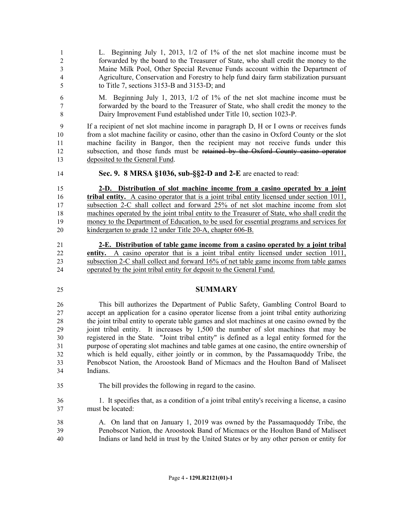L. Beginning July 1, 2013, 1/2 of 1% of the net slot machine income must be forwarded by the board to the Treasurer of State, who shall credit the money to the Maine Milk Pool, Other Special Revenue Funds account within the Department of Agriculture, Conservation and Forestry to help fund dairy farm stabilization pursuant to Title 7, sections 3153-B and 3153-D; and

 M. Beginning July 1, 2013, 1/2 of 1% of the net slot machine income must be forwarded by the board to the Treasurer of State, who shall credit the money to the Dairy Improvement Fund established under Title 10, section 1023-P.

 If a recipient of net slot machine income in paragraph D, H or I owns or receives funds from a slot machine facility or casino, other than the casino in Oxford County or the slot machine facility in Bangor, then the recipient may not receive funds under this 12 subsection, and those funds must be retained by the Oxford County casino operator deposited to the General Fund.

**Sec. 9. 8 MRSA §1036, sub-§§2-D and 2-E** are enacted to read:

 **2-D. Distribution of slot machine income from a casino operated by a joint tribal entity.** A casino operator that is a joint tribal entity licensed under section 1011, subsection 2-C shall collect and forward 25% of net slot machine income from slot machines operated by the joint tribal entity to the Treasurer of State, who shall credit the money to the Department of Education, to be used for essential programs and services for kindergarten to grade 12 under Title 20-A, chapter 606-B.

- **2-E. Distribution of table game income from a casino operated by a joint tribal entity.** A casino operator that is a joint tribal entity licensed under section 1011, subsection 2-C shall collect and forward 16% of net table game income from table games operated by the joint tribal entity for deposit to the General Fund.
- 

## **SUMMARY**

 This bill authorizes the Department of Public Safety, Gambling Control Board to accept an application for a casino operator license from a joint tribal entity authorizing the joint tribal entity to operate table games and slot machines at one casino owned by the joint tribal entity. It increases by 1,500 the number of slot machines that may be registered in the State. "Joint tribal entity" is defined as a legal entity formed for the purpose of operating slot machines and table games at one casino, the entire ownership of which is held equally, either jointly or in common, by the Passamaquoddy Tribe, the Penobscot Nation, the Aroostook Band of Micmacs and the Houlton Band of Maliseet Indians.

The bill provides the following in regard to the casino.

 1. It specifies that, as a condition of a joint tribal entity's receiving a license, a casino must be located:

 A. On land that on January 1, 2019 was owned by the Passamaquoddy Tribe, the Penobscot Nation, the Aroostook Band of Micmacs or the Houlton Band of Maliseet Indians or land held in trust by the United States or by any other person or entity for